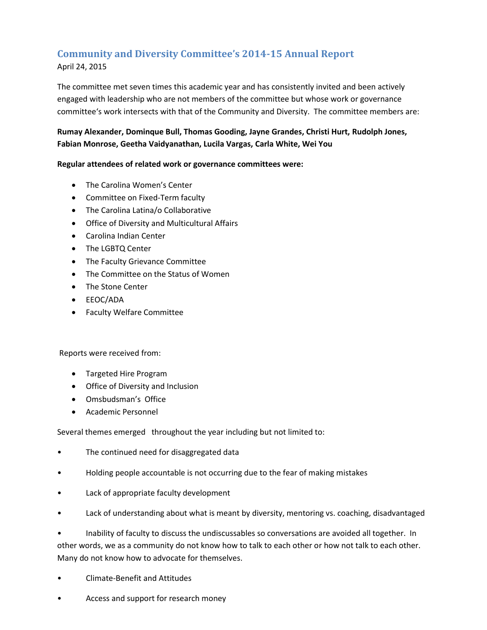# **Community and Diversity Committee's 2014-15 Annual Report**

April 24, 2015

The committee met seven times this academic year and has consistently invited and been actively engaged with leadership who are not members of the committee but whose work or governance committee's work intersects with that of the Community and Diversity. The committee members are:

# **Rumay Alexander, Dominque Bull, Thomas Gooding, Jayne Grandes, Christi Hurt, Rudolph Jones, Fabian Monrose, Geetha Vaidyanathan, Lucila Vargas, Carla White, Wei You**

## **Regular attendees of related work or governance committees were:**

- The Carolina Women's Center
- Committee on Fixed-Term faculty
- The Carolina Latina/o Collaborative
- Office of Diversity and Multicultural Affairs
- Carolina Indian Center
- The LGBTQ Center
- The Faculty Grievance Committee
- The Committee on the Status of Women
- The Stone Center
- EEOC/ADA
- Faculty Welfare Committee

Reports were received from:

- Targeted Hire Program
- Office of Diversity and Inclusion
- Omsbudsman's Office
- Academic Personnel

Several themes emerged throughout the year including but not limited to:

- The continued need for disaggregated data
- Holding people accountable is not occurring due to the fear of making mistakes
- Lack of appropriate faculty development
- Lack of understanding about what is meant by diversity, mentoring vs. coaching, disadvantaged

• Inability of faculty to discuss the undiscussables so conversations are avoided all together. In other words, we as a community do not know how to talk to each other or how not talk to each other. Many do not know how to advocate for themselves.

- Climate-Benefit and Attitudes
- Access and support for research money